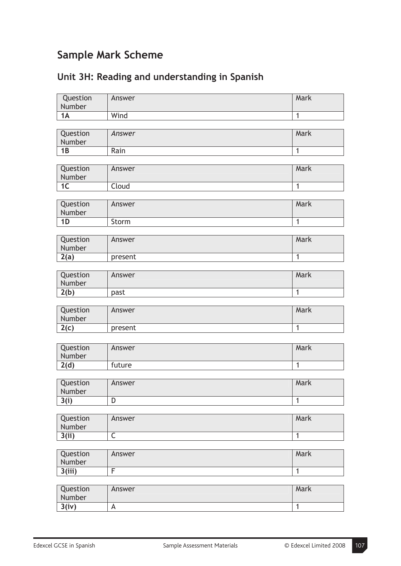## **Sample Mark Scheme**

| Question        | Answer                  | Mark           |
|-----------------|-------------------------|----------------|
|                 |                         |                |
| Number          |                         |                |
| 1A              | Wind                    | $\overline{1}$ |
|                 |                         |                |
| Question        | Answer                  | Mark           |
| Number          |                         |                |
| 1B              | Rain                    | $\overline{1}$ |
|                 |                         |                |
|                 |                         |                |
| Question        | Answer                  | Mark           |
| Number          |                         |                |
| $\overline{1C}$ | Cloud                   | $\overline{1}$ |
|                 |                         |                |
| Question        | Answer                  | Mark           |
| Number          |                         |                |
| 1D              | Storm                   | $\mathbf{1}$   |
|                 |                         |                |
| Question        | Answer                  | Mark           |
|                 |                         |                |
| Number          |                         |                |
| 2(a)            | present                 | $\overline{1}$ |
|                 |                         |                |
| Question        | Answer                  | Mark           |
| Number          |                         |                |
| 2(b)            | past                    | 1              |
|                 |                         |                |
| Question        | Answer                  | Mark           |
|                 |                         |                |
| Number          |                         |                |
| 2(c)            | present                 | $\overline{1}$ |
|                 |                         |                |
| Question        | Answer                  | Mark           |
| Number          |                         |                |
| 2(d)            | future                  | $\overline{1}$ |
|                 |                         |                |
|                 |                         |                |
| Question        | Answer                  | Mark           |
| Number          |                         |                |
| 3(i)            | D                       | $\mathbf{1}$   |
|                 |                         |                |
| Question        | Answer                  | Mark           |
| Number          |                         |                |
| 3(ii)           | $\overline{\mathsf{C}}$ | $\mathbf{1}$   |
|                 |                         |                |
| Question        |                         | Mark           |
|                 | Answer                  |                |
| Number          |                         |                |
| 3(iii)          | $\overline{\mathsf{F}}$ | 1              |
|                 |                         |                |
| Question        | Answer                  | Mark           |
| Number          |                         |                |

## **Unit 3H: Reading and understanding in Spanish**

**3(iv)** A 1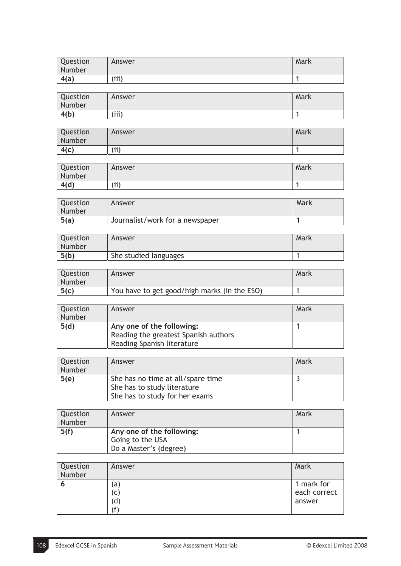| Question<br>Number | Answer | Mark |
|--------------------|--------|------|
| 4(a)               | (iii)  |      |

| Question<br>Number | Answer | Mark |
|--------------------|--------|------|
| 4(b)               | (iii)  |      |

| Question<br>Number | Answer | Mark |
|--------------------|--------|------|
| 4(c)               | (i)    |      |

| Question<br>Number | Answer | Mark |
|--------------------|--------|------|
| 4(d)               | (i)    |      |

| Question<br>Number | Answer                          | Mark |
|--------------------|---------------------------------|------|
| 5(a)               | Journalist/work for a newspaper |      |

| Question<br>Number | Answer                | Mark |
|--------------------|-----------------------|------|
| 5(b)               | She studied languages |      |

| Question<br>Number | Answer                                       | Mark |
|--------------------|----------------------------------------------|------|
| 5(c)               | You have to get good/high marks (in the ESO) |      |

| Question<br>Number | Answer                                                                                          | Mark |
|--------------------|-------------------------------------------------------------------------------------------------|------|
| 5(d)               | Any one of the following:<br>Reading the greatest Spanish authors<br>Reading Spanish literature |      |

| Question | Answer                            | Mark |
|----------|-----------------------------------|------|
| Number   |                                   |      |
| 5(e)     | She has no time at all/spare time |      |
|          | She has to study literature       |      |
|          | She has to study for her exams    |      |

| Question | Answer                    | Mark |
|----------|---------------------------|------|
| Number   |                           |      |
| 5(f)     | Any one of the following: |      |
|          | Going to the USA          |      |
|          | Do a Master's (degree)    |      |

| Question<br>Number | Answer       | Mark         |
|--------------------|--------------|--------------|
|                    | (a           | 1 mark for   |
|                    | $\mathsf{C}$ | each correct |
|                    | d)           | answer       |
|                    | f            |              |